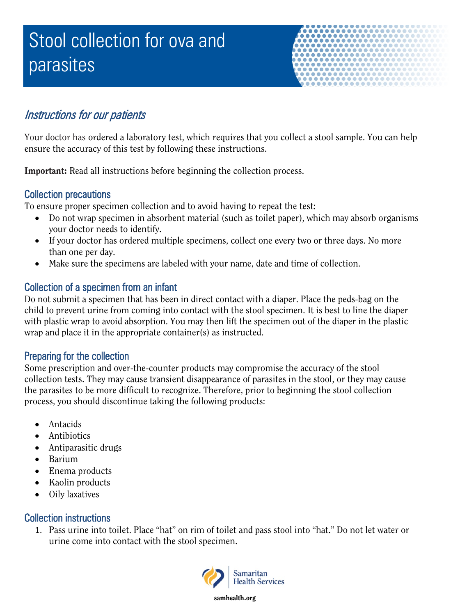# Stool collection for ova and parasites



## Instructions for our patients

Your doctor has ordered a laboratory test, which requires that you collect a stool sample. You can help ensure the accuracy of this test by following these instructions.

Important: Read all instructions before beginning the collection process.

#### Collection precautions

To ensure proper specimen collection and to avoid having to repeat the test:

- Do not wrap specimen in absorbent material (such as toilet paper), which may absorb organisms your doctor needs to identify.
- If your doctor has ordered multiple specimens, collect one every two or three days. No more than one per day.
- Make sure the specimens are labeled with your name, date and time of collection.

### Collection of a specimen from an infant

Do not submit a specimen that has been in direct contact with a diaper. Place the peds-bag on the child to prevent urine from coming into contact with the stool specimen. It is best to line the diaper with plastic wrap to avoid absorption. You may then lift the specimen out of the diaper in the plastic wrap and place it in the appropriate container(s) as instructed.

#### Preparing for the collection

Some prescription and over-the-counter products may compromise the accuracy of the stool collection tests. They may cause transient disappearance of parasites in the stool, or they may cause the parasites to be more difficult to recognize. Therefore, prior to beginning the stool collection process, you should discontinue taking the following products:

- Antacids
- Antibiotics
- Antiparasitic drugs
- Barium
- Enema products
- Kaolin products
- Oily laxatives

#### Collection instructions

1. Pass urine into toilet. Place "hat" on rim of toilet and pass stool into "hat." Do not let water or urine come into contact with the stool specimen.



samhealth.org